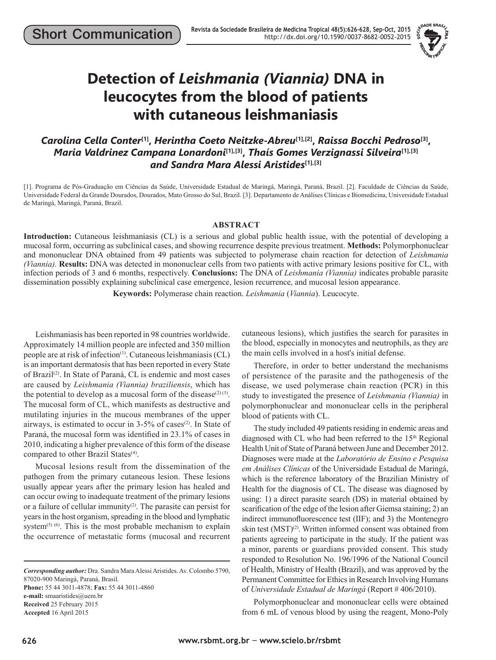

# **Detection of** *Leishmania (Viannia)* **DNA in leucocytes from the blood of patients with cutaneous leishmaniasis**

## *Carolina Cella Conter***[1],** *Herintha Coeto Neitzke-Abreu***[1],[2],** *Raissa Bocchi Pedroso***[3],**  *Maria Valdrinez Campana Lonardoni***[1],[3],** *Thaís Gomes Verzignassi Silveira***[1],[3]** *and Sandra Mara Alessi Aristides***[1],[3]**

[1]. Programa de Pós-Graduação em Ciências da Saúde, Universidade Estadual de Maringá, Maringá, Paraná, Brazil. [2]. Faculdade de Ciências da Saúde, Universidade Federal da Grande Dourados, Dourados, Mato Grosso do Sul, Brazil. [3]. Departamento de Análises Clínicas e Biomedicina, Universidade Estadual de Maringá, Maringá, Paraná, Brazil.

#### **ABSTRACT**

**Introduction:** Cutaneous leishmaniasis (CL) is a serious and global public health issue, with the potential of developing a mucosal form, occurring as subclinical cases, and showing recurrence despite previous treatment. **Methods:** Polymorphonuclear and mononuclear DNA obtained from 49 patients was subjected to polymerase chain reaction for detection of *Leishmania (Viannia).* **Results:** DNA was detected in mononuclear cells from two patients with active primary lesions positive for CL, with infection periods of 3 and 6 months, respectively. **Conclusions:** The DNA of *Leishmania (Viannia)* indicates probable parasite dissemination possibly explaining subclinical case emergence, lesion recurrence, and mucosal lesion appearance.

**Keywords:** Polymerase chain reaction. *Leishmania* (*Viannia*). Leucocyte.

Leishmaniasis has been reported in 98 countries worldwide. Approximately 14 million people are infected and 350 million people are at risk of infection(1). Cutaneous leishmaniasis (CL) is an important dermatosis that has been reported in every State of Brazil<sup>(2)</sup>. In State of Paraná, CL is endemic and most cases are caused by *Leishmania (Viannia) braziliensis*, which has the potential to develop as a mucosal form of the disease<sup>(2)(3)</sup>. The mucosal form of CL, which manifests as destructive and mutilating injuries in the mucous membranes of the upper airways, is estimated to occur in  $3-5%$  of cases<sup>(2)</sup>. In State of Paraná, the mucosal form was identified in 23.1% of cases in 2010, indicating a higher prevalence of this form of the disease compared to other Brazil States<sup>(4)</sup>.

Mucosal lesions result from the dissemination of the pathogen from the primary cutaneous lesion. These lesions usually appear years after the primary lesion has healed and can occur owing to inadequate treatment of the primary lesions or a failure of cellular immunity<sup>(2)</sup>. The parasite can persist for years in the host organism, spreading in the blood and lymphatic system<sup>(5) (6)</sup>. This is the most probable mechanism to explain the occurrence of metastatic forms (mucosal and recurrent

*Corresponding author:* Dra. Sandra Mara Alessi Aristides. Av. Colombo 5790, 87020-900 Maringá, Paraná, Brasil. **Phone:** 55 44 3011-4878; **Fax:** 55 44 3011-4860 **e-mail:** smaaristides@uem.br **Received** 25 February 2015 **Accepted** 16 April 2015

cutaneous lesions), which justifies the search for parasites in the blood, especially in monocytes and neutrophils, as they are the main cells involved in a host's initial defense.

Therefore, in order to better understand the mechanisms of persistence of the parasite and the pathogenesis of the disease, we used polymerase chain reaction (PCR) in this study to investigated the presence of *Leishmania (Viannia)* in polymorphonuclear and mononuclear cells in the peripheral blood of patients with CL.

The study included 49 patients residing in endemic areas and diagnosed with CL who had been referred to the 15<sup>th</sup> Regional Health Unit of State of Paraná between June and December 2012. Diagnoses were made at the *Laboratório de Ensino e Pesquisa em Análises Clínicas* of the Universidade Estadual de Maringá, which is the reference laboratory of the Brazilian Ministry of Health for the diagnosis of CL. The disease was diagnosed by using: 1) a direct parasite search (DS) in material obtained by scarification of the edge of the lesion after Giemsa staining; 2) an indirect immunofluorescence test (IIF); and 3) the Montenegro skin test (MST)<sup>(2)</sup>. Written informed consent was obtained from patients agreeing to participate in the study. If the patient was a minor, parents or guardians provided consent. This study responded to Resolution No. 196/1996 of the National Council of Health, Ministry of Health (Brazil), and was approved by the Permanent Committee for Ethics in Research Involving Humans of *Universidade Estadual de Maringá* (Report # 406/2010).

Polymorphonuclear and mononuclear cells were obtained from 6 mL of venous blood by using the reagent, Mono-Poly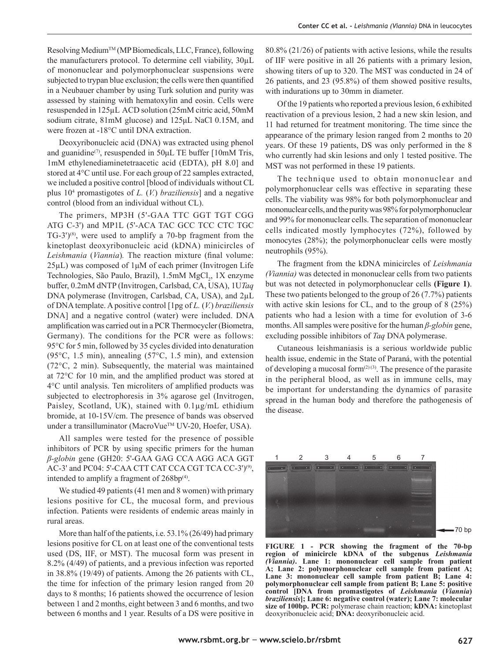Resolving MediumTM (MP Biomedicals, LLC, France), following the manufacturers protocol. To determine cell viability, 30µL of mononuclear and polymorphonuclear suspensions were subjected to trypan blue exclusion; the cells were then quantified in a Neubauer chamber by using Turk solution and purity was assessed by staining with hematoxylin and eosin. Cells were resuspended in 125µL ACD solution (25mM citric acid, 50mM sodium citrate, 81mM glucose) and 125μL NaCl 0.15M, and were frozen at -18°C until DNA extraction.

Deoxyribonucleic acid (DNA) was extracted using phenol and guanidine<sup>(7)</sup>, resuspended in 50 $\mu$ L TE buffer [10mM Tris, 1mM ethylenediaminetetraacetic acid (EDTA), pH 8.0] and stored at 4°C until use. For each group of 22 samples extracted, we included a positive control [blood of individuals without CL plus 104 promastigotes of *L.* (*V.*) *braziliensis*] and a negative control (blood from an individual without CL).

The primers, MP3H (5'-GAA TTC GGT TGT CGG ATG C-3') and MP1L (5'-ACA TAC GCC TCC CTC TGC  $TG-3'$ <sup>(8)</sup>, were used to amplify a 70-bp fragment from the kinetoplast deoxyribonucleic acid (kDNA) minicircles of *Leishmania (Viannia)*. The reaction mixture (final volume: 25µL) was composed of 1μM of each primer (Invitrogen Life Technologies, São Paulo, Brazil), 1.5mM MgCl<sub>2</sub>, 1X enzyme buffer, 0.2mM dNTP (Invitrogen, Carlsbad, CA, USA), 1U*Taq* DNA polymerase (Invitrogen, Carlsbad, CA, USA), and 2µL of DNA template. A positive control [1pg of *L.* (*V.*) *braziliensis* DNA] and a negative control (water) were included. DNA amplification was carried out in a PCR Thermocycler (Biometra, Germany). The conditions for the PCR were as follows: 95°C for 5 min, followed by 35 cycles divided into denaturation (95°C, 1.5 min), annealing (57°C, 1.5 min), and extension (72°C, 2 min). Subsequently, the material was maintained at  $72^{\circ}$ C for 10 min, and the amplified product was stored at 4 °C until analysis. Ten microliters of amplified products was subjected to electrophoresis in 3% agarose gel (Invitrogen, Paisley, Scotland, UK), stained with 0.1µg/mL ethidium bromide, at 10-15V/cm. The presence of bands was observed under a transilluminator (MacroVue™ UV-20, Hoefer, USA).

All samples were tested for the presence of possible inhibitors of PCR by using specific primers for the human *β-globin* gene (GH20: 5'-GAA GAG CCA AGG ACA GGT AC-3' and PC04: 5'-CAA CTT CAT CCA CGT TCA CC-3')<sup>(9)</sup>, intended to amplify a fragment of  $268bp^{(4)}$ .

We studied 49 patients (41 men and 8 women) with primary lesions positive for CL, the mucosal form, and previous infection. Patients were residents of endemic areas mainly in rural areas.

More than half of the patients, i.e. 53.1% (26/49) had primary lesions positive for CL on at least one of the conventional tests used (DS, IIF, or MST). The mucosal form was present in 8.2% (4/49) of patients, and a previous infection was reported in 38.8% (19/49) of patients. Among the 26 patients with CL, the time for infection of the primary lesion ranged from 20 days to 8 months; 16 patients showed the occurrence of lesion between 1 and 2 months, eight between 3 and 6 months, and two between 6 months and 1 year. Results of a DS were positive in 80.8% (21/26) of patients with active lesions, while the results of IIF were positive in all 26 patients with a primary lesion, showing titers of up to 320. The MST was conducted in 24 of 26 patients, and 23 (95.8%) of them showed positive results, with indurations up to 30mm in diameter.

Of the 19 patients who reported a previous lesion, 6 exhibited reactivation of a previous lesion, 2 had a new skin lesion, and 11 had returned for treatment monitoring. The time since the appearance of the primary lesion ranged from 2 months to 20 years. Of these 19 patients, DS was only performed in the 8 who currently had skin lesions and only 1 tested positive. The MST was not performed in these 19 patients.

The technique used to obtain mononuclear and polymorphonuclear cells was effective in separating these cells. The viability was 98% for both polymorphonuclear and mononuclear cells, and the purity was 98% for polymorphonuclear and 99% for mononuclear cells. The separation of mononuclear cells indicated mostly lymphocytes (72%), followed by monocytes (28%); the polymorphonuclear cells were mostly neutrophils (95%).

The fragment from the kDNA minicircles of *Leishmania (Viannia)* was detected in mononuclear cells from two patients but was not detected in polymorphonuclear cells **(Figure 1)**. These two patients belonged to the group of 26 (7.7%) patients with active skin lesions for CL, and to the group of 8 (25%) patients who had a lesion with a time for evolution of 3-6 months. All samples were positive for the human *β-globin* gene, excluding possible inhibitors of *Taq* DNA polymerase.

Cutaneous leishmaniasis is a serious worldwide public health issue, endemic in the State of Paraná, with the potential of developing a mucosal form $(2)(3)$ . The presence of the parasite in the peripheral blood, as well as in immune cells, may be important for understanding the dynamics of parasite spread in the human body and therefore the pathogenesis of the disease.



70 bp

**FIGURE 1 - PCR showing the fragment of the 70-bp region of minicircle kDNA of the subgenus** *Leishmania (Viannia)***. Lane 1: mononuclear cell sample from patient A; Lane 2: polymorphonuclear cell sample from patient A; Lane 3: mononuclear cell sample from patient B; Lane 4: polymorphonuclear cell sample from patient B; Lane 5: positive control [DNA from promastigotes of** *Leishmania* **(***Viannia***)** *braziliensis***]; Lane 6: negative control (water); Lane 7: molecular size of 100bp. PCR:** polymerase chain reaction; **kDNA:** kinetoplast deoxyribonucleic acid; **DNA:** deoxyribonucleic acid.